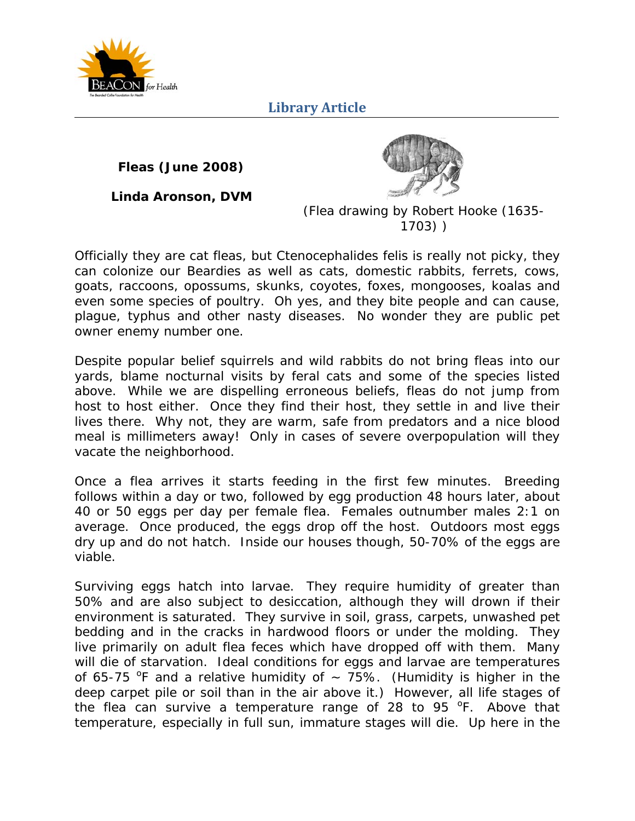

**Fleas (June 2008)** 

**Linda Aronson, DVM**



(*Flea drawing by Robert Hooke (1635- 1703)* )

Officially they are cat fleas, but *Ctenocephalides felis* is really not picky, they can colonize our Beardies as well as cats, domestic rabbits, ferrets, cows, goats, raccoons, opossums, skunks, coyotes, foxes, mongooses, koalas and even some species of poultry. Oh yes, and they bite people and can cause, plague, typhus and other nasty diseases. No wonder they are public pet owner enemy number one.

Despite popular belief squirrels and wild rabbits do not bring fleas into our yards, blame nocturnal visits by feral cats and some of the species listed above. While we are dispelling erroneous beliefs, fleas do not jump from host to host either. Once they find their host, they settle in and live their lives there. Why not, they are warm, safe from predators and a nice blood meal is millimeters away! Only in cases of severe overpopulation will they vacate the neighborhood.

Once a flea arrives it starts feeding in the first few minutes. Breeding follows within a day or two, followed by egg production 48 hours later, about 40 or 50 eggs per day per female flea. Females outnumber males 2:1 on average. Once produced, the eggs drop off the host. Outdoors most eggs dry up and do not hatch. Inside our houses though, 50-70% of the eggs are viable.

Surviving eggs hatch into larvae. They require humidity of greater than 50% and are also subject to desiccation, although they will drown if their environment is saturated. They survive in soil, grass, carpets, unwashed pet bedding and in the cracks in hardwood floors or under the molding. They live primarily on adult flea feces which have dropped off with them. Many will die of starvation. Ideal conditions for eggs and larvae are temperatures of 65-75 <sup>o</sup>F and a relative humidity of  $\sim$  75%. (Humidity is higher in the deep carpet pile or soil than in the air above it.) However, all life stages of the flea can survive a temperature range of 28 to 95  $\degree$ F. Above that temperature, especially in full sun, immature stages will die. Up here in the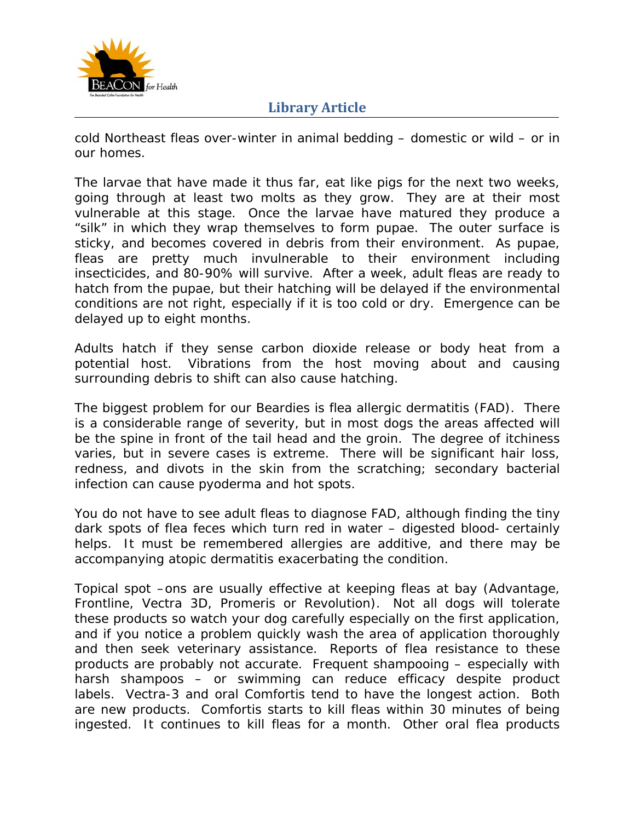

cold Northeast fleas over-winter in animal bedding – domestic or wild – or in our homes.

The larvae that have made it thus far, eat like pigs for the next two weeks, going through at least two molts as they grow. They are at their most vulnerable at this stage. Once the larvae have matured they produce a "silk" in which they wrap themselves to form pupae. The outer surface is sticky, and becomes covered in debris from their environment. As pupae, fleas are pretty much invulnerable to their environment including insecticides, and 80-90% will survive. After a week, adult fleas are ready to hatch from the pupae, but their hatching will be delayed if the environmental conditions are not right, especially if it is too cold or dry. Emergence can be delayed up to eight months.

Adults hatch if they sense carbon dioxide release or body heat from a potential host. Vibrations from the host moving about and causing surrounding debris to shift can also cause hatching.

The biggest problem for our Beardies is flea allergic dermatitis (FAD). There is a considerable range of severity, but in most dogs the areas affected will be the spine in front of the tail head and the groin. The degree of itchiness varies, but in severe cases is extreme. There will be significant hair loss, redness, and divots in the skin from the scratching; secondary bacterial infection can cause pyoderma and hot spots.

You do not have to see adult fleas to diagnose FAD, although finding the tiny dark spots of flea feces which turn red in water – digested blood- certainly helps. It must be remembered allergies are additive, and there may be accompanying atopic dermatitis exacerbating the condition.

Topical spot –ons are usually effective at keeping fleas at bay (Advantage, Frontline, Vectra 3D, Promeris or Revolution). Not all dogs will tolerate these products so watch your dog carefully especially on the first application, and if you notice a problem quickly wash the area of application thoroughly and then seek veterinary assistance. Reports of flea resistance to these products are probably not accurate. Frequent shampooing – especially with harsh shampoos – or swimming can reduce efficacy despite product labels. Vectra-3 and oral Comfortis tend to have the longest action. Both are new products. Comfortis starts to kill fleas within 30 minutes of being ingested. It continues to kill fleas for a month. Other oral flea products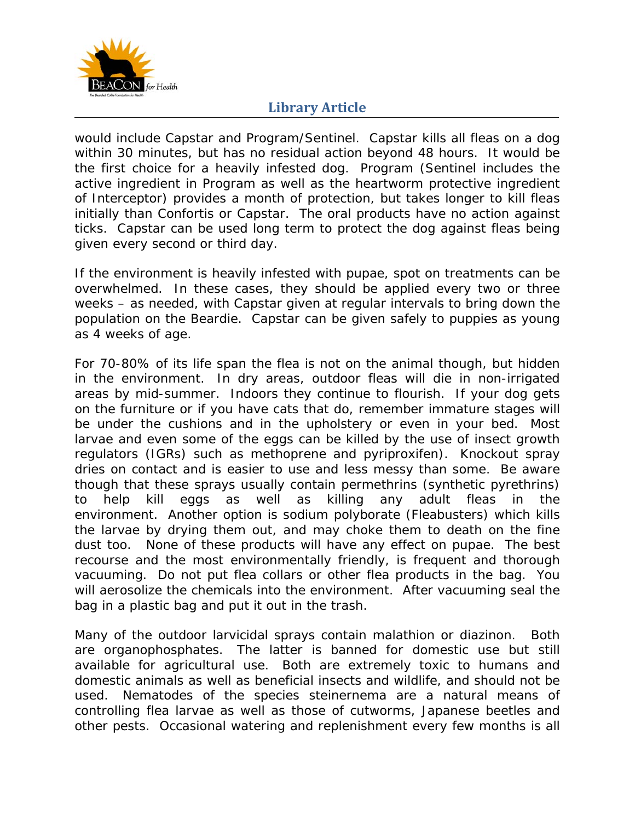

would include Capstar and Program/Sentinel. Capstar kills all fleas on a dog within 30 minutes, but has no residual action beyond 48 hours. It would be the first choice for a heavily infested dog. Program (Sentinel includes the active ingredient in Program as well as the heartworm protective ingredient of Interceptor) provides a month of protection, but takes longer to kill fleas initially than Confortis or Capstar. The oral products have no action against ticks. Capstar can be used long term to protect the dog against fleas being given every second or third day.

If the environment is heavily infested with pupae, spot on treatments can be overwhelmed. In these cases, they should be applied every two or three weeks – as needed, with Capstar given at regular intervals to bring down the population on the Beardie. Capstar can be given safely to puppies as young as 4 weeks of age.

For 70-80% of its life span the flea is not on the animal though, but hidden in the environment. In dry areas, outdoor fleas will die in non-irrigated areas by mid-summer. Indoors they continue to flourish. If your dog gets on the furniture or if you have cats that do, remember immature stages will be under the cushions and in the upholstery or even in your bed. Most larvae and even some of the eggs can be killed by the use of insect growth regulators (IGRs) such as methoprene and pyriproxifen). Knockout spray dries on contact and is easier to use and less messy than some. Be aware though that these sprays usually contain permethrins (synthetic pyrethrins) to help kill eggs as well as killing any adult fleas in the environment. Another option is sodium polyborate (Fleabusters) which kills the larvae by drying them out, and may choke them to death on the fine dust too. None of these products will have any effect on pupae. The best recourse and the most environmentally friendly, is frequent and thorough vacuuming. Do not put flea collars or other flea products in the bag. You will aerosolize the chemicals into the environment. After vacuuming seal the bag in a plastic bag and put it out in the trash.

Many of the outdoor larvicidal sprays contain malathion or diazinon. Both are organophosphates. The latter is banned for domestic use but still available for agricultural use. Both are extremely toxic to humans and domestic animals as well as beneficial insects and wildlife, and should not be used. Nematodes of the species steinernema are a natural means of controlling flea larvae as well as those of cutworms, Japanese beetles and other pests. Occasional watering and replenishment every few months is all